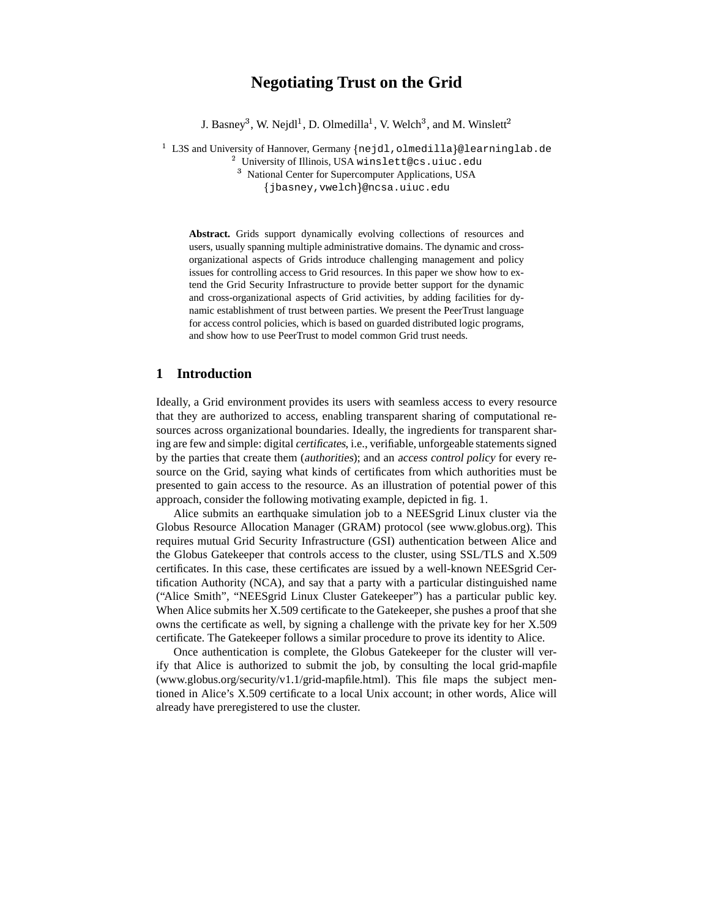# **Negotiating Trust on the Grid**

J. Basney<sup>3</sup>, W. Nejdl<sup>1</sup>, D. Olmedilla<sup>1</sup>, V. Welch<sup>3</sup>, and M. Winslett

 $^1$  L3S and University of Hannover, Germany {nejdl,olmedilla}@learninglab.de

 $^2$  University of Illinois, USA winslett@cs.uiuc.edu

<sup>3</sup> National Center for Supercomputer Applications, USA jbasney,vwelch @ncsa.uiuc.edu

**Abstract.** Grids support dynamically evolving collections of resources and users, usually spanning multiple administrative domains. The dynamic and crossorganizational aspects of Grids introduce challenging management and policy issues for controlling access to Grid resources. In this paper we show how to extend the Grid Security Infrastructure to provide better support for the dynamic and cross-organizational aspects of Grid activities, by adding facilities for dynamic establishment of trust between parties. We present the PeerTrust language for access control policies, which is based on guarded distributed logic programs, and show how to use PeerTrust to model common Grid trust needs.

# **1 Introduction**

Ideally, a Grid environment provides its users with seamless access to every resource that they are authorized to access, enabling transparent sharing of computational resources across organizational boundaries. Ideally, the ingredients for transparent sharing are few and simple: digital certificates, i.e., verifiable, unforgeable statementssigned by the parties that create them (authorities); and an access control policy for every resource on the Grid, saying what kinds of certificates from which authorities must be presented to gain access to the resource. As an illustration of potential power of this approach, consider the following motivating example, depicted in fig. 1.

Alice submits an earthquake simulation job to a NEESgrid Linux cluster via the Globus Resource Allocation Manager (GRAM) protocol (see www.globus.org). This requires mutual Grid Security Infrastructure (GSI) authentication between Alice and the Globus Gatekeeper that controls access to the cluster, using SSL/TLS and X.509 certificates. In this case, these certificates are issued by a well-known NEESgrid Certification Authority (NCA), and say that a party with a particular distinguished name ("Alice Smith", "NEESgrid Linux Cluster Gatekeeper") has a particular public key. When Alice submits her X.509 certificate to the Gatekeeper, she pushes a proof that she owns the certificate as well, by signing a challenge with the private key for her X.509 certificate. The Gatekeeper follows a similar procedure to prove its identity to Alice.

Once authentication is complete, the Globus Gatekeeper for the cluster will verify that Alice is authorized to submit the job, by consulting the local grid-mapfile (www.globus.org/security/v1.1/grid-mapfile.html). This file maps the subject mentioned in Alice's X.509 certificate to a local Unix account; in other words, Alice will already have preregistered to use the cluster.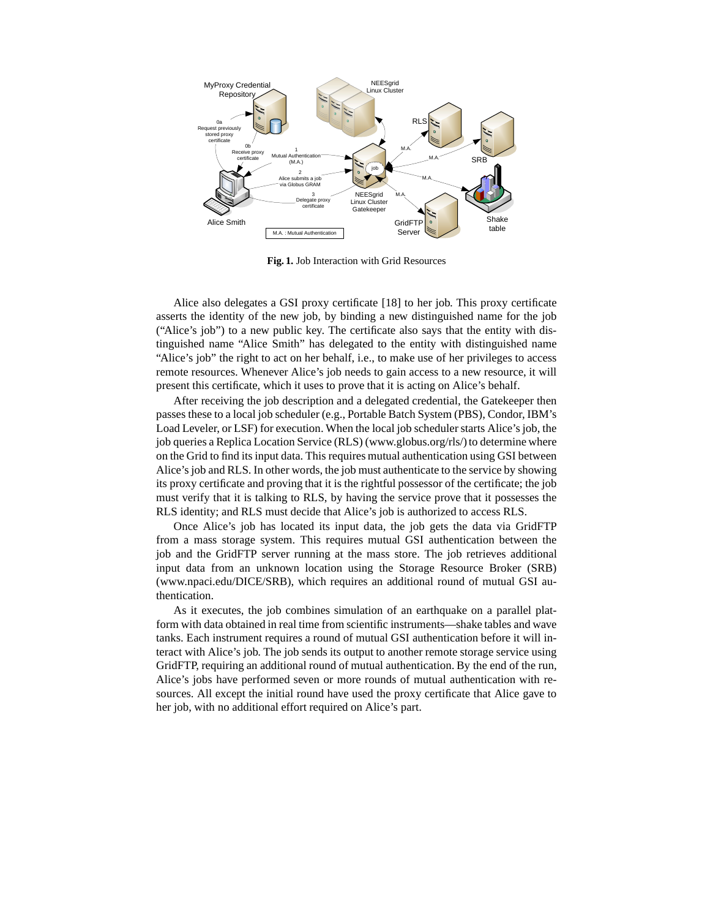

**Fig. 1.** Job Interaction with Grid Resources

Alice also delegates a GSI proxy certificate [18] to her job. This proxy certificate asserts the identity of the new job, by binding a new distinguished name for the job ("Alice's job") to a new public key. The certificate also says that the entity with distinguished name "Alice Smith" has delegated to the entity with distinguished name "Alice's job" the right to act on her behalf, i.e., to make use of her privileges to access remote resources. Whenever Alice's job needs to gain access to a new resource, it will present this certificate, which it uses to prove that it is acting on Alice's behalf.

After receiving the job description and a delegated credential, the Gatekeeper then passes these to a local job scheduler (e.g., Portable Batch System (PBS), Condor, IBM's Load Leveler, or LSF) for execution. When the local job schedulerstarts Alice's job, the job queries a Replica Location Service (RLS) (www.globus.org/rls/) to determine where on the Grid to find its input data. This requires mutual authentication using GSI between Alice's job and RLS. In other words, the job must authenticate to the service by showing its proxy certificate and proving that it is the rightful possessor of the certificate; the job must verify that it is talking to RLS, by having the service prove that it possesses the RLS identity; and RLS must decide that Alice's job is authorized to access RLS.

Once Alice's job has located its input data, the job gets the data via GridFTP from a mass storage system. This requires mutual GSI authentication between the job and the GridFTP server running at the mass store. The job retrieves additional input data from an unknown location using the Storage Resource Broker (SRB) (www.npaci.edu/DICE/SRB), which requires an additional round of mutual GSI authentication.

As it executes, the job combines simulation of an earthquake on a parallel platform with data obtained in real time from scientific instruments—shake tables and wave tanks. Each instrument requires a round of mutual GSI authentication before it will interact with Alice's job. The job sends its output to another remote storage service using GridFTP, requiring an additional round of mutual authentication. By the end of the run, Alice's jobs have performed seven or more rounds of mutual authentication with resources. All except the initial round have used the proxy certificate that Alice gave to her job, with no additional effort required on Alice's part.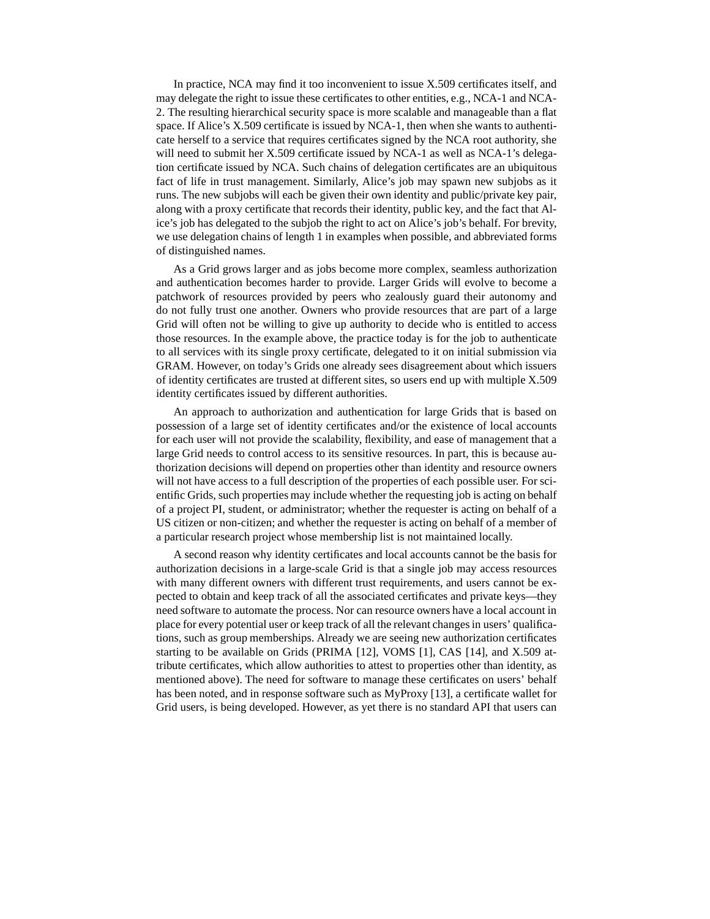In practice, NCA may find it too inconvenient to issue X.509 certificates itself, and may delegate the right to issue these certificates to other entities, e.g., NCA-1 and NCA-2. The resulting hierarchical security space is more scalable and manageable than a flat space. If Alice's X.509 certificate is issued by NCA-1, then when she wants to authenticate herself to a service that requires certificates signed by the NCA root authority, she will need to submit her X.509 certificate issued by NCA-1 as well as NCA-1's delegation certificate issued by NCA. Such chains of delegation certificates are an ubiquitous fact of life in trust management. Similarly, Alice's job may spawn new subjobs as it runs. The new subjobs will each be given their own identity and public/private key pair, along with a proxy certificate that records their identity, public key, and the fact that Alice's job has delegated to the subjob the right to act on Alice's job's behalf. For brevity, we use delegation chains of length 1 in examples when possible, and abbreviated forms of distinguished names.

As a Grid grows larger and as jobs become more complex, seamless authorization and authentication becomes harder to provide. Larger Grids will evolve to become a patchwork of resources provided by peers who zealously guard their autonomy and do not fully trust one another. Owners who provide resources that are part of a large Grid will often not be willing to give up authority to decide who is entitled to access those resources. In the example above, the practice today is for the job to authenticate to all services with its single proxy certificate, delegated to it on initial submission via GRAM. However, on today's Grids one already sees disagreement about which issuers of identity certificates are trusted at different sites, so users end up with multiple X.509 identity certificates issued by different authorities.

An approach to authorization and authentication for large Grids that is based on possession of a large set of identity certificates and/or the existence of local accounts for each user will not provide the scalability, flexibility, and ease of management that a large Grid needs to control access to its sensitive resources. In part, this is because authorization decisions will depend on properties other than identity and resource owners will not have access to a full description of the properties of each possible user. For scientific Grids, such properties may include whether the requesting job is acting on behalf of a project PI, student, or administrator; whether the requester is acting on behalf of a US citizen or non-citizen; and whether the requester is acting on behalf of a member of a particular research project whose membership list is not maintained locally.

A second reason why identity certificates and local accounts cannot be the basis for authorization decisions in a large-scale Grid is that a single job may access resources with many different owners with different trust requirements, and users cannot be expected to obtain and keep track of all the associated certificates and private keys—they need software to automate the process. Nor can resource owners have a local account in place for every potential user or keep track of all the relevant changesin users' qualifications, such as group memberships. Already we are seeing new authorization certificates starting to be available on Grids (PRIMA [12], VOMS [1], CAS [14], and X.509 attribute certificates, which allow authorities to attest to properties other than identity, as mentioned above). The need for software to manage these certificates on users' behalf has been noted, and in response software such as MyProxy [13], a certificate wallet for Grid users, is being developed. However, as yet there is no standard API that users can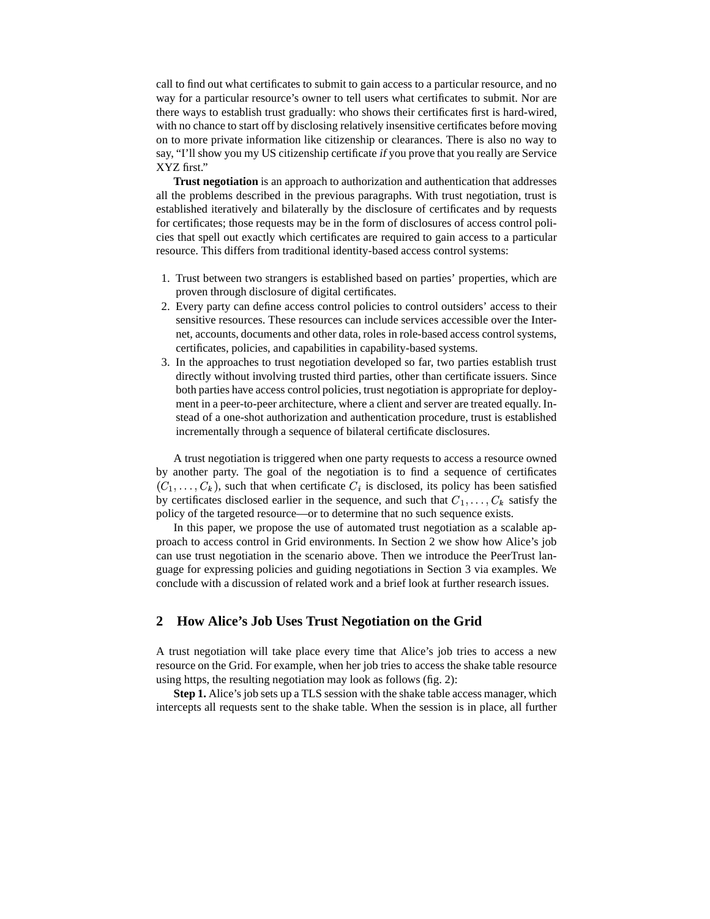call to find out what certificates to submit to gain access to a particular resource, and no way for a particular resource's owner to tell users what certificates to submit. Nor are there ways to establish trust gradually: who shows their certificates first is hard-wired, with no chance to start off by disclosing relatively insensitive certificates before moving on to more private information like citizenship or clearances. There is also no way to say, "I'll show you my US citizenship certificate if you prove that you really are Service XYZ first."

**Trust negotiation** is an approach to authorization and authentication that addresses all the problems described in the previous paragraphs. With trust negotiation, trust is established iteratively and bilaterally by the disclosure of certificates and by requests for certificates; those requests may be in the form of disclosures of access control policies that spell out exactly which certificates are required to gain access to a particular resource. This differs from traditional identity-based access control systems:

- 1. Trust between two strangers is established based on parties' properties, which are proven through disclosure of digital certificates.
- 2. Every party can define access control policies to control outsiders' access to their sensitive resources. These resources can include services accessible over the Internet, accounts, documents and other data, roles in role-based access control systems, certificates, policies, and capabilities in capability-based systems.
- 3. In the approaches to trust negotiation developed so far, two parties establish trust directly without involving trusted third parties, other than certificate issuers. Since both parties have access control policies, trust negotiation is appropriate for deployment in a peer-to-peer architecture, where a client and server are treated equally. Instead of a one-shot authorization and authentication procedure, trust is established incrementally through a sequence of bilateral certificate disclosures.

A trust negotiation is triggered when one party requests to access a resource owned by another party. The goal of the negotiation is to find a sequence of certificates  $(C_1, \ldots, C_k)$ , such that when certificate  $C_i$  is disclosed, its policy has been satisfied by certificates disclosed earlier in the sequence, and such that  $C_1, \ldots, C_k$  satisfy the policy of the targeted resource—or to determine that no such sequence exists.

In this paper, we propose the use of automated trust negotiation as a scalable approach to access control in Grid environments. In Section 2 we show how Alice's job can use trust negotiation in the scenario above. Then we introduce the PeerTrust language for expressing policies and guiding negotiations in Section 3 via examples. We conclude with a discussion of related work and a brief look at further research issues.

# **2 How Alice's Job Uses Trust Negotiation on the Grid**

A trust negotiation will take place every time that Alice's job tries to access a new resource on the Grid. For example, when her job tries to access the shake table resource using https, the resulting negotiation may look as follows (fig. 2):

**Step 1.** Alice's job sets up a TLS session with the shake table access manager, which intercepts all requests sent to the shake table. When the session is in place, all further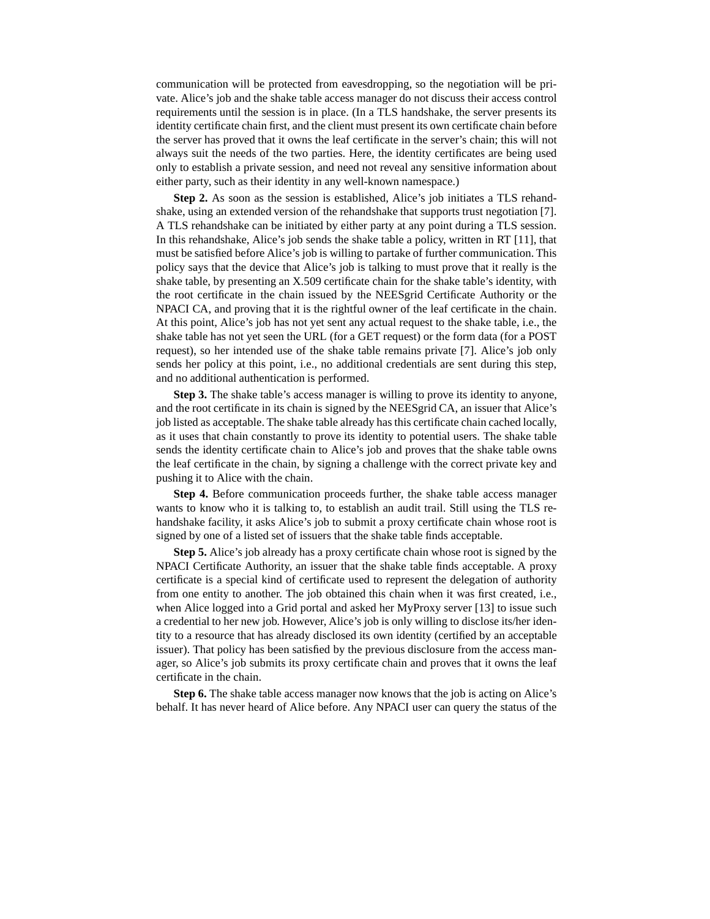communication will be protected from eavesdropping, so the negotiation will be private. Alice's job and the shake table access manager do not discuss their access control requirements until the session is in place. (In a TLS handshake, the server presents its identity certificate chain first, and the client must present its own certificate chain before the server has proved that it owns the leaf certificate in the server's chain; this will not always suit the needs of the two parties. Here, the identity certificates are being used only to establish a private session, and need not reveal any sensitive information about either party, such as their identity in any well-known namespace.)

**Step 2.** As soon as the session is established, Alice's job initiates a TLS rehandshake, using an extended version of the rehandshake that supports trust negotiation [7]. A TLS rehandshake can be initiated by either party at any point during a TLS session. In this rehandshake, Alice's job sends the shake table a policy, written in RT [11], that must be satisfied before Alice's job is willing to partake of further communication. This policy says that the device that Alice's job is talking to must prove that it really is the shake table, by presenting an X.509 certificate chain for the shake table's identity, with the root certificate in the chain issued by the NEESgrid Certificate Authority or the NPACI CA, and proving that it is the rightful owner of the leaf certificate in the chain. At this point, Alice's job has not yet sent any actual request to the shake table, i.e., the shake table has not yet seen the URL (for a GET request) or the form data (for a POST request), so her intended use of the shake table remains private [7]. Alice's job only sends her policy at this point, i.e., no additional credentials are sent during this step, and no additional authentication is performed.

**Step 3.** The shake table's access manager is willing to prove its identity to anyone, and the root certificate in its chain is signed by the NEESgrid CA, an issuer that Alice's job listed as acceptable. The shake table already has this certificate chain cached locally, as it uses that chain constantly to prove its identity to potential users. The shake table sends the identity certificate chain to Alice's job and proves that the shake table owns the leaf certificate in the chain, by signing a challenge with the correct private key and pushing it to Alice with the chain.

**Step 4.** Before communication proceeds further, the shake table access manager wants to know who it is talking to, to establish an audit trail. Still using the TLS rehandshake facility, it asks Alice's job to submit a proxy certificate chain whose root is signed by one of a listed set of issuers that the shake table finds acceptable.

**Step 5.** Alice's job already has a proxy certificate chain whose root is signed by the NPACI Certificate Authority, an issuer that the shake table finds acceptable. A proxy certificate is a special kind of certificate used to represent the delegation of authority from one entity to another. The job obtained this chain when it was first created, i.e., when Alice logged into a Grid portal and asked her MyProxy server [13] to issue such a credential to her new job. However, Alice's job is only willing to disclose its/her identity to a resource that has already disclosed its own identity (certified by an acceptable issuer). That policy has been satisfied by the previous disclosure from the access manager, so Alice's job submits its proxy certificate chain and proves that it owns the leaf certificate in the chain.

**Step 6.** The shake table access manager now knows that the job is acting on Alice's behalf. It has never heard of Alice before. Any NPACI user can query the status of the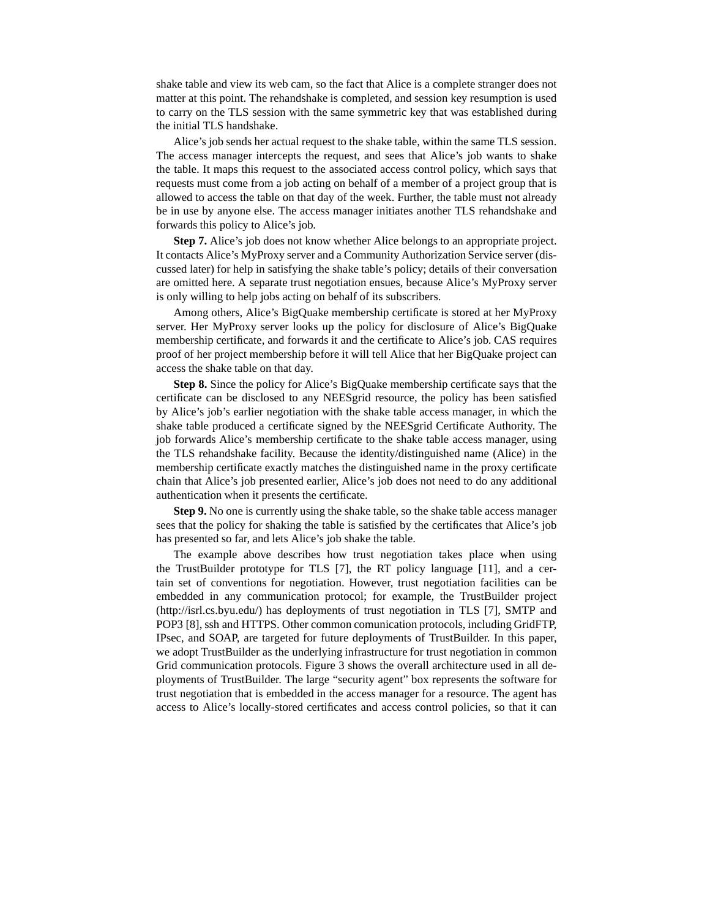shake table and view its web cam, so the fact that Alice is a complete stranger does not matter at this point. The rehandshake is completed, and session key resumption is used to carry on the TLS session with the same symmetric key that was established during the initial TLS handshake.

Alice's job sends her actual request to the shake table, within the same TLS session. The access manager intercepts the request, and sees that Alice's job wants to shake the table. It maps this request to the associated access control policy, which says that requests must come from a job acting on behalf of a member of a project group that is allowed to access the table on that day of the week. Further, the table must not already be in use by anyone else. The access manager initiates another TLS rehandshake and forwards this policy to Alice's job.

**Step 7.** Alice's job does not know whether Alice belongs to an appropriate project. It contacts Alice's MyProxy server and a Community Authorization Service server (discussed later) for help in satisfying the shake table's policy; details of their conversation are omitted here. A separate trust negotiation ensues, because Alice's MyProxy server is only willing to help jobs acting on behalf of its subscribers.

Among others, Alice's BigQuake membership certificate is stored at her MyProxy server. Her MyProxy server looks up the policy for disclosure of Alice's BigQuake membership certificate, and forwards it and the certificate to Alice's job. CAS requires proof of her project membership before it will tell Alice that her BigQuake project can access the shake table on that day.

**Step 8.** Since the policy for Alice's BigQuake membership certificate says that the certificate can be disclosed to any NEESgrid resource, the policy has been satisfied by Alice's job's earlier negotiation with the shake table access manager, in which the shake table produced a certificate signed by the NEESgrid Certificate Authority. The job forwards Alice's membership certificate to the shake table access manager, using the TLS rehandshake facility. Because the identity/distinguished name (Alice) in the membership certificate exactly matches the distinguished name in the proxy certificate chain that Alice's job presented earlier, Alice's job does not need to do any additional authentication when it presents the certificate.

**Step 9.** No one is currently using the shake table, so the shake table access manager sees that the policy for shaking the table is satisfied by the certificates that Alice's job has presented so far, and lets Alice's job shake the table.

The example above describes how trust negotiation takes place when using the TrustBuilder prototype for TLS [7], the RT policy language [11], and a certain set of conventions for negotiation. However, trust negotiation facilities can be embedded in any communication protocol; for example, the TrustBuilder project (http://isrl.cs.byu.edu/) has deployments of trust negotiation in TLS [7], SMTP and POP3 [8], ssh and HTTPS. Other common comunication protocols, including GridFTP, IPsec, and SOAP, are targeted for future deployments of TrustBuilder. In this paper, we adopt TrustBuilder as the underlying infrastructure for trust negotiation in common Grid communication protocols. Figure 3 shows the overall architecture used in all deployments of TrustBuilder. The large "security agent" box represents the software for trust negotiation that is embedded in the access manager for a resource. The agent has access to Alice's locally-stored certificates and access control policies, so that it can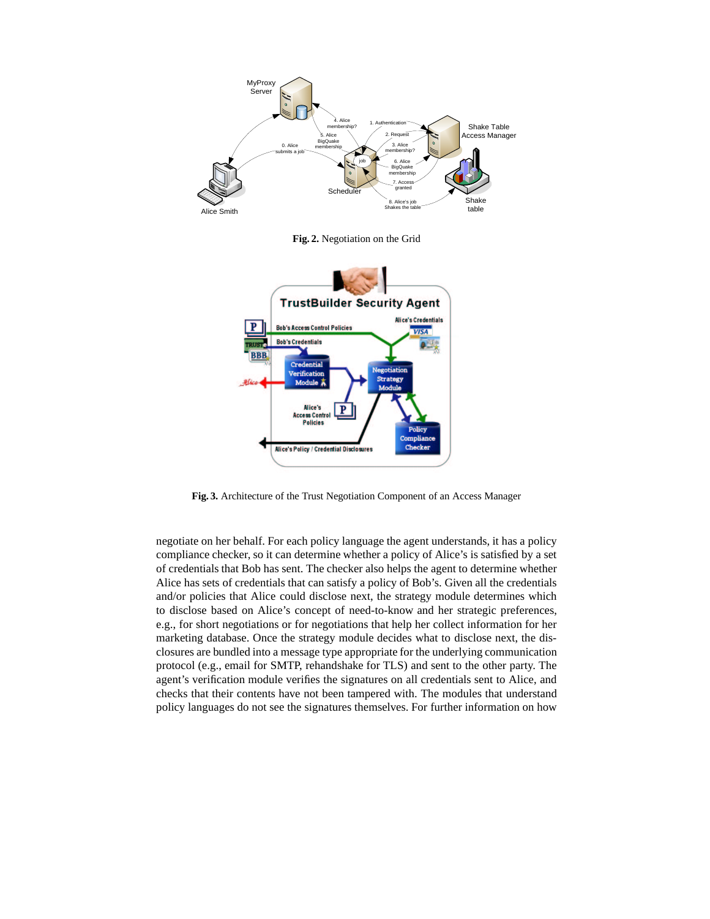

**Fig. 2.** Negotiation on the Grid



**Fig. 3.** Architecture of the Trust Negotiation Component of an Access Manager

negotiate on her behalf. For each policy language the agent understands, it has a policy compliance checker, so it can determine whether a policy of Alice's is satisfied by a set of credentials that Bob has sent. The checker also helps the agent to determine whether Alice has sets of credentials that can satisfy a policy of Bob's. Given all the credentials and/or policies that Alice could disclose next, the strategy module determines which to disclose based on Alice's concept of need-to-know and her strategic preferences, e.g., for short negotiations or for negotiations that help her collect information for her marketing database. Once the strategy module decides what to disclose next, the disclosures are bundled into a message type appropriate for the underlying communication protocol (e.g., email for SMTP, rehandshake for TLS) and sent to the other party. The agent's verification module verifies the signatures on all credentials sent to Alice, and checks that their contents have not been tampered with. The modules that understand policy languages do not see the signatures themselves. For further information on how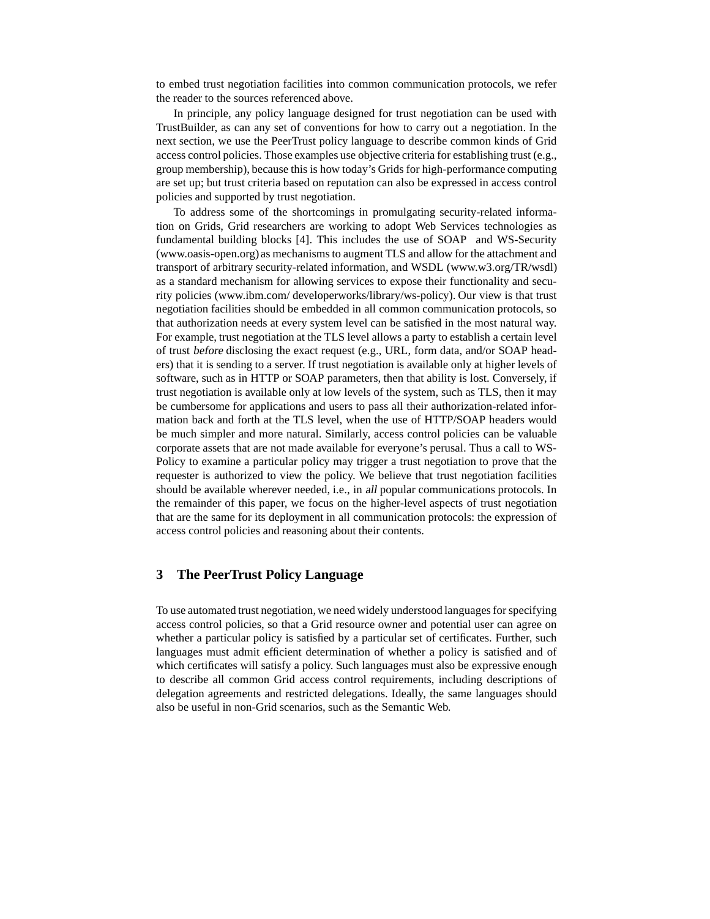to embed trust negotiation facilities into common communication protocols, we refer the reader to the sources referenced above.

In principle, any policy language designed for trust negotiation can be used with TrustBuilder, as can any set of conventions for how to carry out a negotiation. In the next section, we use the PeerTrust policy language to describe common kinds of Grid access control policies. Those examples use objective criteria for establishing trust (e.g., group membership), because this is how today's Grids for high-performance computing are set up; but trust criteria based on reputation can also be expressed in access control policies and supported by trust negotiation.

To address some of the shortcomings in promulgating security-related information on Grids, Grid researchers are working to adopt Web Services technologies as fundamental building blocks [4]. This includes the use of SOAP and WS-Security (www.oasis-open.org) as mechanismsto augment TLS and allow for the attachment and transport of arbitrary security-related information, and WSDL (www.w3.org/TR/wsdl) as a standard mechanism for allowing services to expose their functionality and security policies (www.ibm.com/ developerworks/library/ws-policy). Our view is that trust negotiation facilities should be embedded in all common communication protocols, so that authorization needs at every system level can be satisfied in the most natural way. For example, trust negotiation at the TLS level allows a party to establish a certain level of trust before disclosing the exact request (e.g., URL, form data, and/or SOAP headers) that it is sending to a server. If trust negotiation is available only at higher levels of software, such as in HTTP or SOAP parameters, then that ability is lost. Conversely, if trust negotiation is available only at low levels of the system, such as TLS, then it may be cumbersome for applications and users to pass all their authorization-related information back and forth at the TLS level, when the use of HTTP/SOAP headers would be much simpler and more natural. Similarly, access control policies can be valuable corporate assets that are not made available for everyone's perusal. Thus a call to WS-Policy to examine a particular policy may trigger a trust negotiation to prove that the requester is authorized to view the policy. We believe that trust negotiation facilities should be available wherever needed, i.e., in all popular communications protocols. In the remainder of this paper, we focus on the higher-level aspects of trust negotiation that are the same for its deployment in all communication protocols: the expression of access control policies and reasoning about their contents.

# **3 The PeerTrust Policy Language**

To use automated trust negotiation, we need widely understood languages for specifying access control policies, so that a Grid resource owner and potential user can agree on whether a particular policy is satisfied by a particular set of certificates. Further, such languages must admit efficient determination of whether a policy is satisfied and of which certificates will satisfy a policy. Such languages must also be expressive enough to describe all common Grid access control requirements, including descriptions of delegation agreements and restricted delegations. Ideally, the same languages should also be useful in non-Grid scenarios, such as the Semantic Web.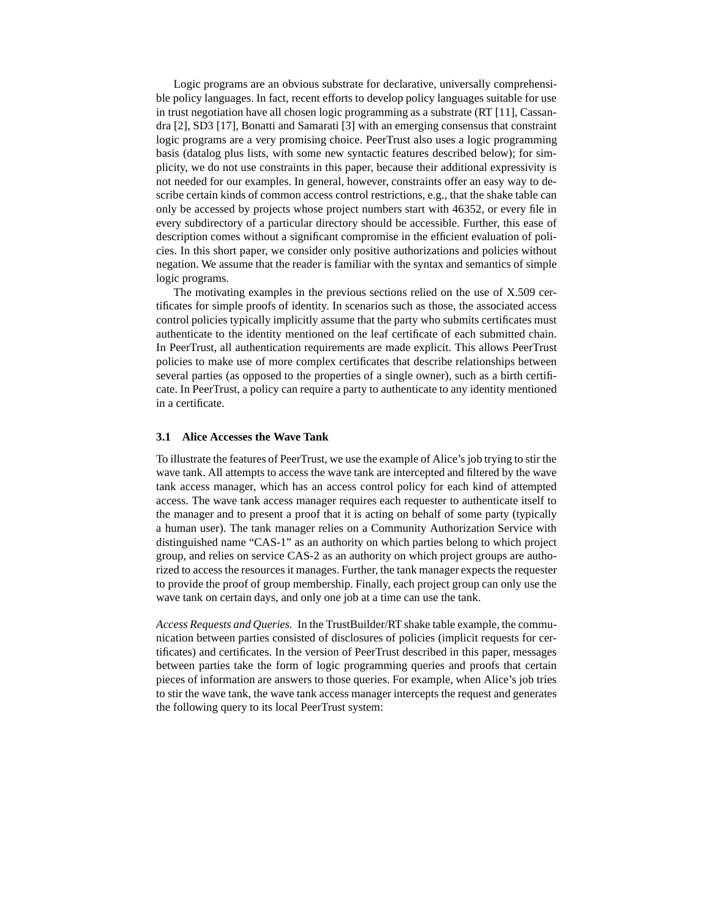Logic programs are an obvious substrate for declarative, universally comprehensible policy languages. In fact, recent efforts to develop policy languages suitable for use in trust negotiation have all chosen logic programming as a substrate (RT [11], Cassandra [2], SD3 [17], Bonatti and Samarati [3] with an emerging consensus that constraint logic programs are a very promising choice. PeerTrust also uses a logic programming basis (datalog plus lists, with some new syntactic features described below); for simplicity, we do not use constraints in this paper, because their additional expressivity is not needed for our examples. In general, however, constraints offer an easy way to describe certain kinds of common access control restrictions, e.g., that the shake table can only be accessed by projects whose project numbers start with 46352, or every file in every subdirectory of a particular directory should be accessible. Further, this ease of description comes without a significant compromise in the efficient evaluation of policies. In this short paper, we consider only positive authorizations and policies without negation. We assume that the reader is familiar with the syntax and semantics of simple logic programs.

The motivating examples in the previous sections relied on the use of X.509 certificates for simple proofs of identity. In scenarios such as those, the associated access control policies typically implicitly assume that the party who submits certificates must authenticate to the identity mentioned on the leaf certificate of each submitted chain. In PeerTrust, all authentication requirements are made explicit. This allows PeerTrust policies to make use of more complex certificates that describe relationships between several parties (as opposed to the properties of a single owner), such as a birth certificate. In PeerTrust, a policy can require a party to authenticate to any identity mentioned in a certificate.

### **3.1 Alice Accesses the Wave Tank**

To illustrate the features of PeerTrust, we use the example of Alice's job trying to stir the wave tank. All attempts to access the wave tank are intercepted and filtered by the wave tank access manager, which has an access control policy for each kind of attempted access. The wave tank access manager requires each requester to authenticate itself to the manager and to present a proof that it is acting on behalf of some party (typically a human user). The tank manager relies on a Community Authorization Service with distinguished name "CAS-1" as an authority on which parties belong to which project group, and relies on service CAS-2 as an authority on which project groups are authorized to access the resources it manages. Further, the tank manager expects the requester to provide the proof of group membership. Finally, each project group can only use the wave tank on certain days, and only one job at a time can use the tank.

*Access Requests and Queries.* In the TrustBuilder/RT shake table example, the communication between parties consisted of disclosures of policies (implicit requests for certificates) and certificates. In the version of PeerTrust described in this paper, messages between parties take the form of logic programming queries and proofs that certain pieces of information are answers to those queries. For example, when Alice's job tries to stir the wave tank, the wave tank access manager intercepts the request and generates the following query to its local PeerTrust system: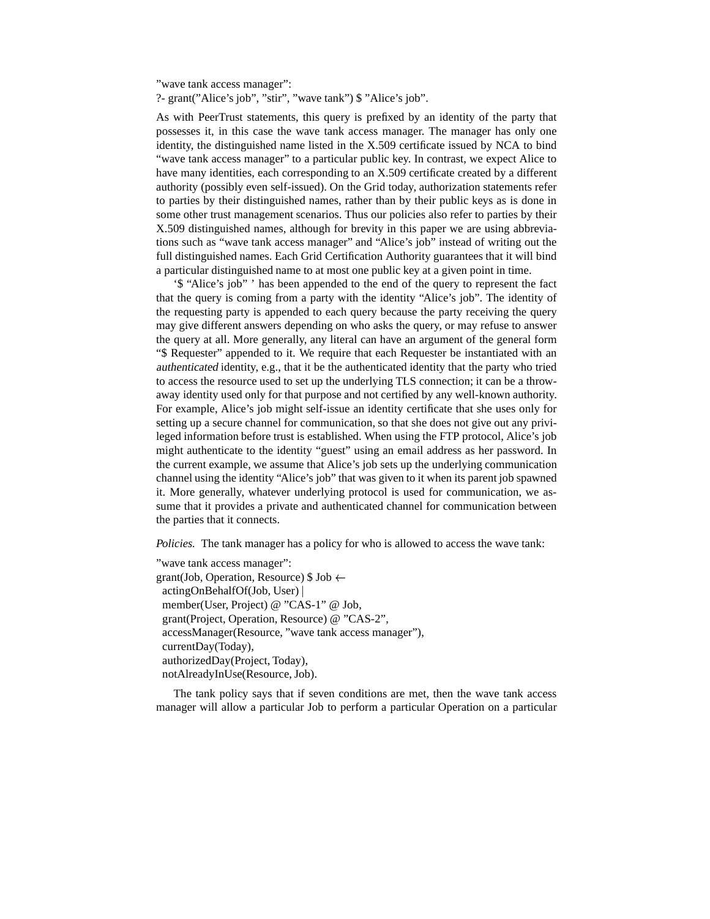"wave tank access manager":

?- grant("Alice's job", "stir", "wave tank") \$ "Alice's job".

As with PeerTrust statements, this query is prefixed by an identity of the party that possesses it, in this case the wave tank access manager. The manager has only one identity, the distinguished name listed in the X.509 certificate issued by NCA to bind "wave tank access manager" to a particular public key. In contrast, we expect Alice to have many identities, each corresponding to an X.509 certificate created by a different authority (possibly even self-issued). On the Grid today, authorization statements refer to parties by their distinguished names, rather than by their public keys as is done in some other trust management scenarios. Thus our policies also refer to parties by their X.509 distinguished names, although for brevity in this paper we are using abbreviations such as "wave tank access manager" and "Alice's job" instead of writing out the full distinguished names. Each Grid Certification Authority guarantees that it will bind a particular distinguished name to at most one public key at a given point in time.

'\$ "Alice's job" ' has been appended to the end of the query to represent the fact that the query is coming from a party with the identity "Alice's job". The identity of the requesting party is appended to each query because the party receiving the query may give different answers depending on who asks the query, or may refuse to answer the query at all. More generally, any literal can have an argument of the general form "\$ Requester" appended to it. We require that each Requester be instantiated with an authenticated identity, e.g., that it be the authenticated identity that the party who tried to access the resource used to set up the underlying TLS connection; it can be a throwaway identity used only for that purpose and not certified by any well-known authority. For example, Alice's job might self-issue an identity certificate that she uses only for setting up a secure channel for communication, so that she does not give out any privileged information before trust is established. When using the FTP protocol, Alice's job might authenticate to the identity "guest" using an email address as her password. In the current example, we assume that Alice's job sets up the underlying communication channel using the identity "Alice's job" that was given to it when its parent job spawned it. More generally, whatever underlying protocol is used for communication, we assume that it provides a private and authenticated channel for communication between the parties that it connects.

*Policies.* The tank manager has a policy for who is allowed to access the wave tank:

"wave tank access manager": grant(Job, Operation, Resource)  $\$$  Job  $\leftarrow$ actingOnBehalfOf(Job, User) member(User, Project) @ "CAS-1" @ Job, grant(Project, Operation, Resource) @ "CAS-2", accessManager(Resource, "wave tank access manager"), currentDay(Today), authorizedDay(Project, Today), notAlreadyInUse(Resource, Job).

The tank policy says that if seven conditions are met, then the wave tank access manager will allow a particular Job to perform a particular Operation on a particular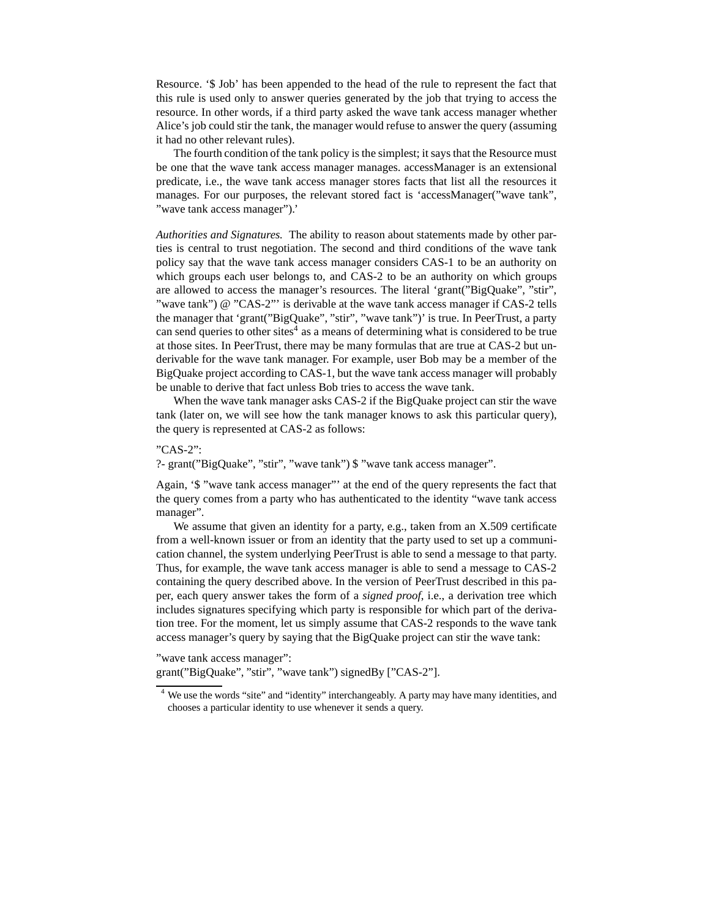Resource. '\$ Job' has been appended to the head of the rule to represent the fact that this rule is used only to answer queries generated by the job that trying to access the resource. In other words, if a third party asked the wave tank access manager whether Alice's job could stir the tank, the manager would refuse to answer the query (assuming it had no other relevant rules).

The fourth condition of the tank policy is the simplest; it says that the Resource must be one that the wave tank access manager manages. accessManager is an extensional predicate, i.e., the wave tank access manager stores facts that list all the resources it manages. For our purposes, the relevant stored fact is 'accessManager("wave tank", "wave tank access manager").'

*Authorities and Signatures.* The ability to reason about statements made by other parties is central to trust negotiation. The second and third conditions of the wave tank policy say that the wave tank access manager considers CAS-1 to be an authority on which groups each user belongs to, and CAS-2 to be an authority on which groups are allowed to access the manager's resources. The literal 'grant("BigQuake", "stir", "wave tank") @ "CAS-2"' is derivable at the wave tank access manager if CAS-2 tells the manager that 'grant("BigQuake", "stir", "wave tank")' is true. In PeerTrust, a party can send queries to other sites<sup>4</sup> as a means of determining what is considered to be true at those sites. In PeerTrust, there may be many formulas that are true at CAS-2 but underivable for the wave tank manager. For example, user Bob may be a member of the BigQuake project according to CAS-1, but the wave tank access manager will probably be unable to derive that fact unless Bob tries to access the wave tank.

When the wave tank manager asks CAS-2 if the BigQuake project can stir the wave tank (later on, we will see how the tank manager knows to ask this particular query), the query is represented at CAS-2 as follows:

## "CAS-2":

?- grant("BigQuake", "stir", "wave tank") \$ "wave tank access manager".

Again, '\$ "wave tank access manager"' at the end of the query represents the fact that the query comes from a party who has authenticated to the identity "wave tank access manager".

We assume that given an identity for a party, e.g., taken from an X.509 certificate from a well-known issuer or from an identity that the party used to set up a communication channel, the system underlying PeerTrust is able to send a message to that party. Thus, for example, the wave tank access manager is able to send a message to CAS-2 containing the query described above. In the version of PeerTrust described in this paper, each query answer takes the form of a *signed proof*, i.e., a derivation tree which includes signatures specifying which party is responsible for which part of the derivation tree. For the moment, let us simply assume that CAS-2 responds to the wave tank access manager's query by saying that the BigQuake project can stir the wave tank:

"wave tank access manager":

grant("BigQuake", "stir", "wave tank") signedBy ["CAS-2"].

<sup>&</sup>lt;sup>4</sup> We use the words "site" and "identity" interchangeably. A party may have many identities, and chooses a particular identity to use whenever it sends a query.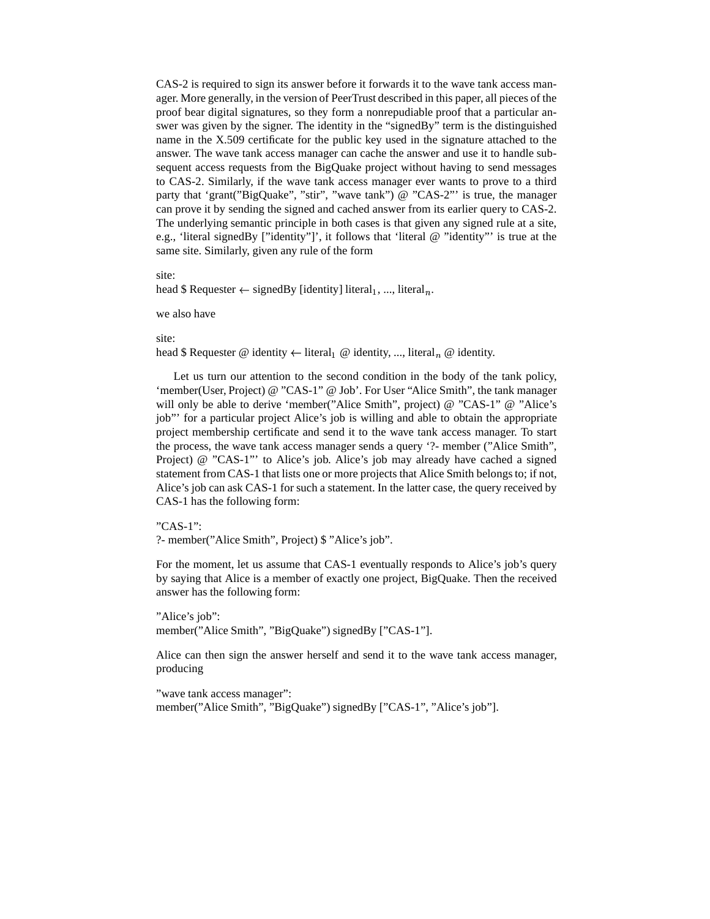CAS-2 is required to sign its answer before it forwards it to the wave tank access manager. More generally, in the version of PeerTrust described in this paper, all pieces of the proof bear digital signatures, so they form a nonrepudiable proof that a particular answer was given by the signer. The identity in the "signedBy" term is the distinguished name in the X.509 certificate for the public key used in the signature attached to the answer. The wave tank access manager can cache the answer and use it to handle subsequent access requests from the BigQuake project without having to send messages to CAS-2. Similarly, if the wave tank access manager ever wants to prove to a third party that 'grant("BigQuake", "stir", "wave tank") @ "CAS-2"' is true, the manager can prove it by sending the signed and cached answer from its earlier query to CAS-2. The underlying semantic principle in both cases is that given any signed rule at a site, e.g., 'literal signedBy ["identity"]', it follows that 'literal @ "identity"' is true at the same site. Similarly, given any rule of the form

#### site:

head \$ Requester  $\leftarrow$  signedBy [identity] literal<sub>1</sub>, ..., literal<sub>n</sub>.

#### we also have

#### site:

head \$ Requester @ identity  $\leftarrow$  literal<sub>1</sub> @ identity, ..., literal<sub>n</sub> @ identity.

Let us turn our attention to the second condition in the body of the tank policy, 'member(User, Project) @ "CAS-1" @ Job'. For User "Alice Smith", the tank manager will only be able to derive 'member("Alice Smith", project) @ "CAS-1" @ "Alice's job"' for a particular project Alice's job is willing and able to obtain the appropriate project membership certificate and send it to the wave tank access manager. To start the process, the wave tank access manager sends a query '?- member ("Alice Smith", Project) @ "CAS-1"' to Alice's job. Alice's job may already have cached a signed statement from CAS-1 that lists one or more projects that Alice Smith belongs to; if not, Alice's job can ask CAS-1 for such a statement. In the latter case, the query received by CAS-1 has the following form:

### "CAS-1":

?- member("Alice Smith", Project) \$ "Alice's job".

For the moment, let us assume that CAS-1 eventually responds to Alice's job's query by saying that Alice is a member of exactly one project, BigQuake. Then the received answer has the following form:

"Alice's job": member("Alice Smith", "BigQuake") signedBy ["CAS-1"].

Alice can then sign the answer herself and send it to the wave tank access manager, producing

"wave tank access manager": member("Alice Smith", "BigQuake") signedBy ["CAS-1", "Alice's job"].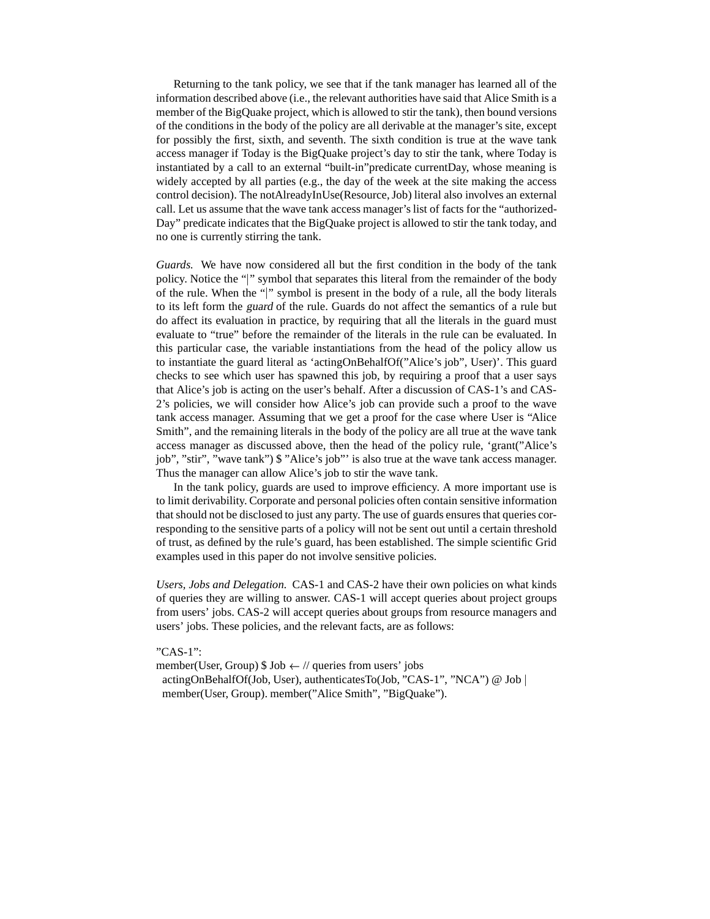Returning to the tank policy, we see that if the tank manager has learned all of the information described above (i.e., the relevant authorities have said that Alice Smith is a member of the BigQuake project, which is allowed to stir the tank), then bound versions of the conditions in the body of the policy are all derivable at the manager's site, except for possibly the first, sixth, and seventh. The sixth condition is true at the wave tank access manager if Today is the BigQuake project's day to stir the tank, where Today is instantiated by a call to an external "built-in"predicate currentDay, whose meaning is widely accepted by all parties (e.g., the day of the week at the site making the access control decision). The notAlreadyInUse(Resource,Job) literal also involves an external call. Let us assume that the wave tank access manager's list of facts for the "authorized-Day" predicate indicates that the BigQuake project is allowed to stir the tank today, and no one is currently stirring the tank.

*Guards.* We have now considered all but the first condition in the body of the tank policy. Notice the "|" symbol that separates this literal from the remainder of the body of the rule. When the " " symbol is present in the body of a rule, all the body literals to its left form the guard of the rule. Guards do not affect the semantics of a rule but do affect its evaluation in practice, by requiring that all the literals in the guard must evaluate to "true" before the remainder of the literals in the rule can be evaluated. In this particular case, the variable instantiations from the head of the policy allow us to instantiate the guard literal as 'actingOnBehalfOf("Alice's job", User)'. This guard checks to see which user has spawned this job, by requiring a proof that a user says that Alice's job is acting on the user's behalf. After a discussion of CAS-1's and CAS-2's policies, we will consider how Alice's job can provide such a proof to the wave tank access manager. Assuming that we get a proof for the case where User is "Alice Smith", and the remaining literals in the body of the policy are all true at the wave tank access manager as discussed above, then the head of the policy rule, 'grant("Alice's job", "stir", "wave tank") \$ "Alice's job"' is also true at the wave tank access manager. Thus the manager can allow Alice's job to stir the wave tank.

In the tank policy, guards are used to improve efficiency. A more important use is to limit derivability. Corporate and personal policies often contain sensitive information that should not be disclosed to just any party. The use of guards ensures that queries corresponding to the sensitive parts of a policy will not be sent out until a certain threshold of trust, as defined by the rule's guard, has been established. The simple scientific Grid examples used in this paper do not involve sensitive policies.

*Users, Jobs and Delegation.* CAS-1 and CAS-2 have their own policies on what kinds of queries they are willing to answer. CAS-1 will accept queries about project groups from users' jobs. CAS-2 will accept queries about groups from resource managers and users' jobs. These policies, and the relevant facts, are as follows:

## "CAS-1":

member(User, Group)  $\$$  Job  $\leftarrow$  // queries from users' jobs actingOnBehalfOf(Job, User), authenticatesTo(Job, "CAS-1", "NCA") @ Job member(User, Group). member("Alice Smith", "BigQuake").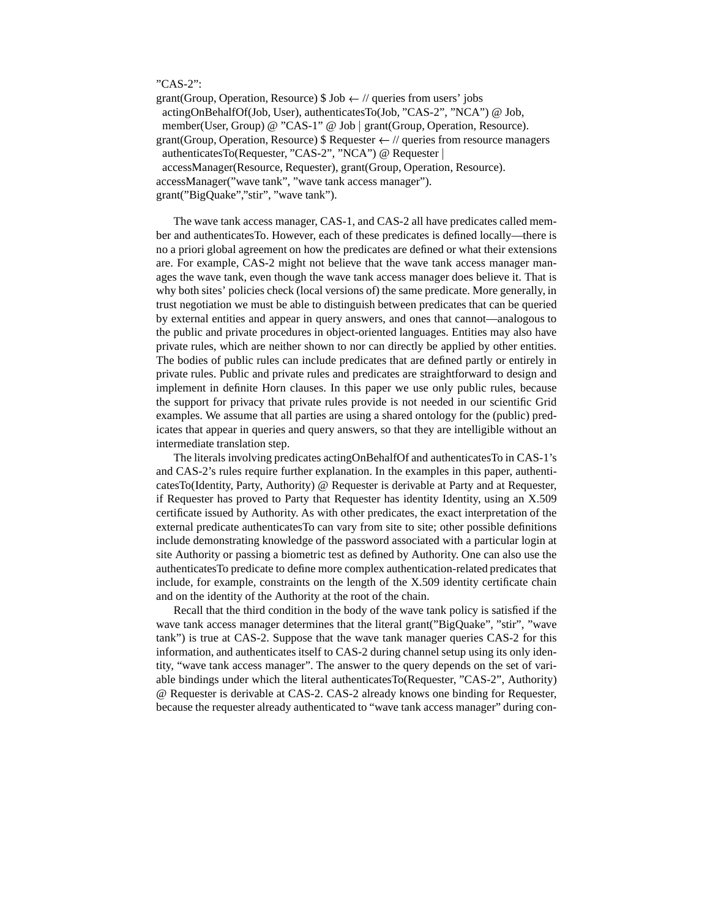## "CAS-2":

grant(Group, Operation, Resource)  $\$\text{Job} \leftarrow \text{// queries from users' jobs}$ 

actingOnBehalfOf(Job, User), authenticatesTo(Job, "CAS-2", "NCA") @ Job,

member(User, Group) @ "CAS-1" @ Job | grant(Group, Operation, Resource).

grant(Group, Operation, Resource) \$ Requester  $\leftarrow$  // queries from resource managers

authenticatesTo(Requester, "CAS-2", "NCA") @ Requester

accessManager(Resource, Requester), grant(Group, Operation, Resource).

accessManager("wave tank", "wave tank access manager").

grant("BigQuake","stir", "wave tank").

The wave tank access manager, CAS-1, and CAS-2 all have predicates called member and authenticatesTo. However, each of these predicates is defined locally—there is no a priori global agreement on how the predicates are defined or what their extensions are. For example, CAS-2 might not believe that the wave tank access manager manages the wave tank, even though the wave tank access manager does believe it. That is why both sites' policies check (local versions of) the same predicate. More generally, in trust negotiation we must be able to distinguish between predicates that can be queried by external entities and appear in query answers, and ones that cannot—analogous to the public and private procedures in object-oriented languages. Entities may also have private rules, which are neither shown to nor can directly be applied by other entities. The bodies of public rules can include predicates that are defined partly or entirely in private rules. Public and private rules and predicates are straightforward to design and implement in definite Horn clauses. In this paper we use only public rules, because the support for privacy that private rules provide is not needed in our scientific Grid examples. We assume that all parties are using a shared ontology for the (public) predicates that appear in queries and query answers, so that they are intelligible without an intermediate translation step.

The literals involving predicates actingOnBehalfOf and authenticatesTo in CAS-1's and CAS-2's rules require further explanation. In the examples in this paper, authenticatesTo(Identity, Party, Authority) @ Requester is derivable at Party and at Requester, if Requester has proved to Party that Requester has identity Identity, using an X.509 certificate issued by Authority. As with other predicates, the exact interpretation of the external predicate authenticatesTo can vary from site to site; other possible definitions include demonstrating knowledge of the password associated with a particular login at site Authority or passing a biometric test as defined by Authority. One can also use the authenticatesTo predicate to define more complex authentication-related predicates that include, for example, constraints on the length of the X.509 identity certificate chain and on the identity of the Authority at the root of the chain.

Recall that the third condition in the body of the wave tank policy is satisfied if the wave tank access manager determines that the literal grant("BigQuake", "stir", "wave tank") is true at CAS-2. Suppose that the wave tank manager queries CAS-2 for this information, and authenticates itself to CAS-2 during channel setup using its only identity, "wave tank access manager". The answer to the query depends on the set of variable bindings under which the literal authenticatesTo(Requester, "CAS-2", Authority) @ Requester is derivable at CAS-2. CAS-2 already knows one binding for Requester, because the requester already authenticated to "wave tank access manager" during con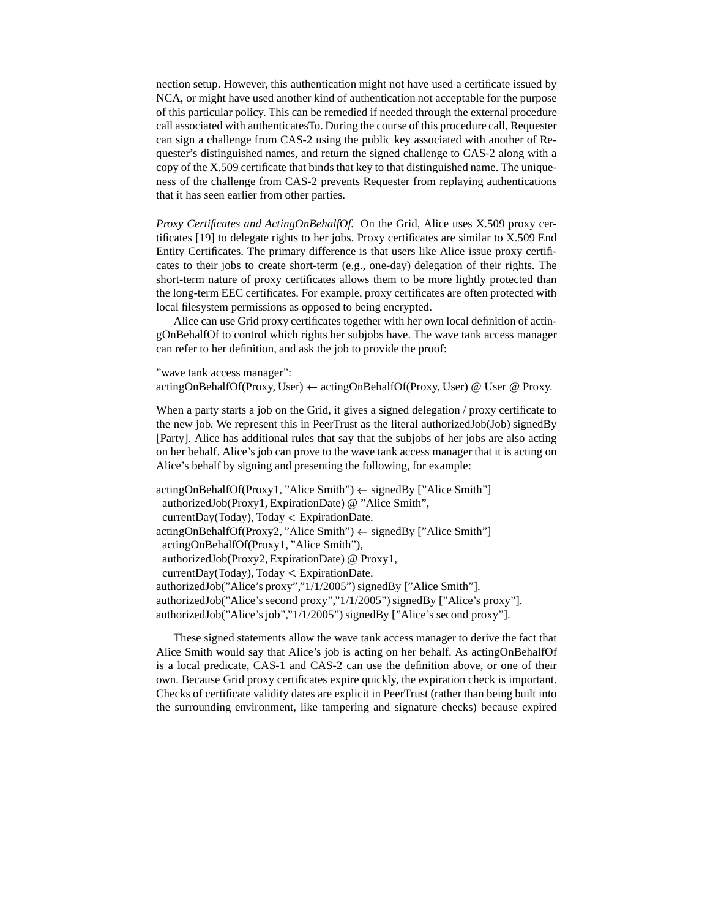nection setup. However, this authentication might not have used a certificate issued by NCA, or might have used another kind of authentication not acceptable for the purpose of this particular policy. This can be remedied if needed through the external procedure call associated with authenticatesTo. During the course of this procedure call, Requester can sign a challenge from CAS-2 using the public key associated with another of Requester's distinguished names, and return the signed challenge to CAS-2 along with a copy of the X.509 certificate that binds that key to that distinguished name. The uniqueness of the challenge from CAS-2 prevents Requester from replaying authentications that it has seen earlier from other parties.

*Proxy Certificates and ActingOnBehalfOf.* On the Grid, Alice uses X.509 proxy certificates [19] to delegate rights to her jobs. Proxy certificates are similar to X.509 End Entity Certificates. The primary difference is that users like Alice issue proxy certificates to their jobs to create short-term (e.g., one-day) delegation of their rights. The short-term nature of proxy certificates allows them to be more lightly protected than the long-term EEC certificates. For example, proxy certificates are often protected with local filesystem permissions as opposed to being encrypted.

Alice can use Grid proxy certificates together with her own local definition of actingOnBehalfOf to control which rights her subjobs have. The wave tank access manager can refer to her definition, and ask the job to provide the proof:

"wave tank access manager": actingOnBehalfOf(Proxy, User)  $\leftarrow$  actingOnBehalfOf(Proxy, User) @ User @ Proxy.

When a party starts a job on the Grid, it gives a signed delegation / proxy certificate to the new job. We represent this in PeerTrust as the literal authorizedJob(Job) signedBy [Party]. Alice has additional rules that say that the subjobs of her jobs are also acting on her behalf. Alice's job can prove to the wave tank access manager that it is acting on Alice's behalf by signing and presenting the following, for example:

```
\text{actingOnBehalfOf}(\text{Proxyl}, \text{"Alice Smith"} \leftarrow \text{signedBy } [\text{"Alice Smith"}]authorizedJob(Proxy1, ExpirationDate) @ "Alice Smith",
 currentDay(Today), Today 
ExpirationDate.
\text{actingOnBehalfOf}(\text{Proxy2}, \text{"Alice Smith"} \leftarrow \text{signedBy } [\text{"Alice Smith"}]actingOnBehalfOf(Proxy1, "Alice Smith"),
 authorizedJob(Proxy2, ExpirationDate) @ Proxy1,
 currentDay(Today), Today 
ExpirationDate.
authorizedJob("Alice's proxy","1/1/2005") signedBy ["Alice Smith"].
authorizedJob("Alice's second proxy","1/1/2005") signedBy ["Alice's proxy"].
authorizedJob("Alice's job","1/1/2005") signedBy ["Alice's second proxy"].
```
These signed statements allow the wave tank access manager to derive the fact that Alice Smith would say that Alice's job is acting on her behalf. As actingOnBehalfOf is a local predicate, CAS-1 and CAS-2 can use the definition above, or one of their own. Because Grid proxy certificates expire quickly, the expiration check is important. Checks of certificate validity dates are explicit in PeerTrust (rather than being built into the surrounding environment, like tampering and signature checks) because expired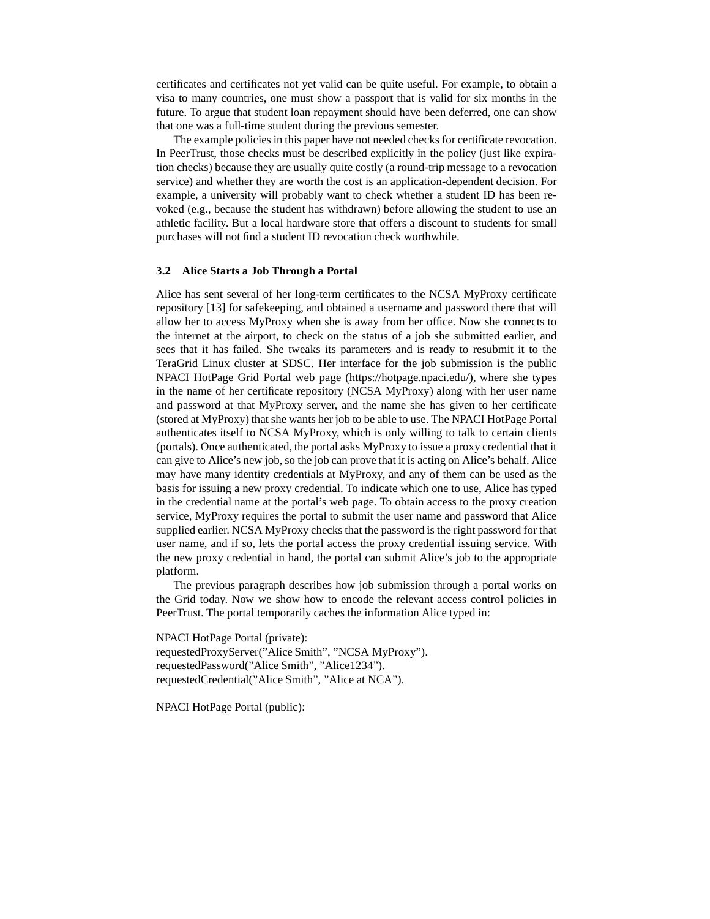certificates and certificates not yet valid can be quite useful. For example, to obtain a visa to many countries, one must show a passport that is valid for six months in the future. To argue that student loan repayment should have been deferred, one can show that one was a full-time student during the previous semester.

The example policies in this paper have not needed checks for certificate revocation. In PeerTrust, those checks must be described explicitly in the policy (just like expiration checks) because they are usually quite costly (a round-trip message to a revocation service) and whether they are worth the cost is an application-dependent decision. For example, a university will probably want to check whether a student ID has been revoked (e.g., because the student has withdrawn) before allowing the student to use an athletic facility. But a local hardware store that offers a discount to students for small purchases will not find a student ID revocation check worthwhile.

### **3.2 Alice Starts a Job Through a Portal**

Alice has sent several of her long-term certificates to the NCSA MyProxy certificate repository [13] for safekeeping, and obtained a username and password there that will allow her to access MyProxy when she is away from her office. Now she connects to the internet at the airport, to check on the status of a job she submitted earlier, and sees that it has failed. She tweaks its parameters and is ready to resubmit it to the TeraGrid Linux cluster at SDSC. Her interface for the job submission is the public NPACI HotPage Grid Portal web page (https://hotpage.npaci.edu/), where she types in the name of her certificate repository (NCSA MyProxy) along with her user name and password at that MyProxy server, and the name she has given to her certificate (stored at MyProxy) that she wants her job to be able to use. The NPACI HotPage Portal authenticates itself to NCSA MyProxy, which is only willing to talk to certain clients (portals). Once authenticated, the portal asks MyProxy to issue a proxy credential that it can give to Alice's new job, so the job can prove that it is acting on Alice's behalf. Alice may have many identity credentials at MyProxy, and any of them can be used as the basis for issuing a new proxy credential. To indicate which one to use, Alice has typed in the credential name at the portal's web page. To obtain access to the proxy creation service, MyProxy requires the portal to submit the user name and password that Alice supplied earlier. NCSA MyProxy checks that the password is the right password for that user name, and if so, lets the portal access the proxy credential issuing service. With the new proxy credential in hand, the portal can submit Alice's job to the appropriate platform.

The previous paragraph describes how job submission through a portal works on the Grid today. Now we show how to encode the relevant access control policies in PeerTrust. The portal temporarily caches the information Alice typed in:

NPACI HotPage Portal (private): requestedProxyServer("Alice Smith", "NCSA MyProxy"). requestedPassword("Alice Smith", "Alice1234"). requestedCredential("Alice Smith", "Alice at NCA").

NPACI HotPage Portal (public):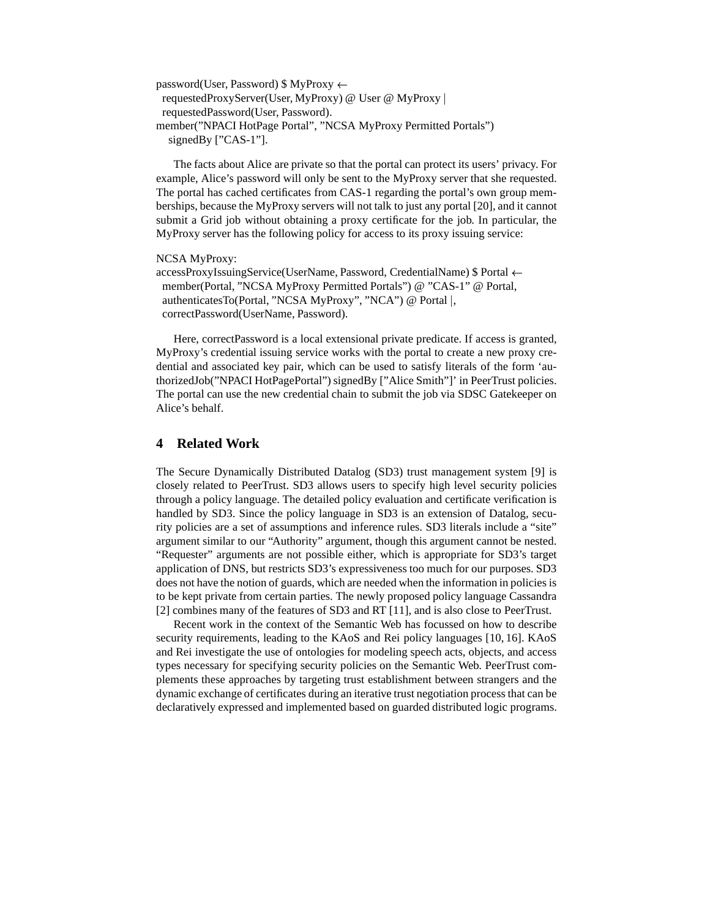```
password(User, Password) \$\MyProxy \leftarrowrequestedProxyServer(User, MyProxy) @ User @ MyProxy 
 requestedPassword(User, Password).
member("NPACI HotPage Portal", "NCSA MyProxy Permitted Portals")
  signedBy ["CAS-1"].
```
The facts about Alice are private so that the portal can protect its users' privacy. For example, Alice's password will only be sent to the MyProxy server that she requested. The portal has cached certificates from CAS-1 regarding the portal's own group memberships, because the MyProxy servers will not talk to just any portal [20], and it cannot submit a Grid job without obtaining a proxy certificate for the job. In particular, the MyProxy server has the following policy for access to its proxy issuing service:

### NCSA MyProxy:

```
accessProxyIssuingService(UserName, Password, CredentialName) $ Portal 
 member(Portal, "NCSA MyProxy Permitted Portals") @ "CAS-1" @ Portal,
 authenticatesTo(Portal, "NCSA MyProxy", "NCA") @ Portal |,
 correctPassword(UserName, Password).
```
Here, correctPassword is a local extensional private predicate. If access is granted, MyProxy's credential issuing service works with the portal to create a new proxy credential and associated key pair, which can be used to satisfy literals of the form 'authorizedJob("NPACI HotPagePortal") signedBy ["Alice Smith"]' in PeerTrust policies. The portal can use the new credential chain to submit the job via SDSC Gatekeeper on Alice's behalf.

# **4 Related Work**

The Secure Dynamically Distributed Datalog (SD3) trust management system [9] is closely related to PeerTrust. SD3 allows users to specify high level security policies through a policy language. The detailed policy evaluation and certificate verification is handled by SD3. Since the policy language in SD3 is an extension of Datalog, security policies are a set of assumptions and inference rules. SD3 literals include a "site" argument similar to our "Authority" argument, though this argument cannot be nested. "Requester" arguments are not possible either, which is appropriate for SD3's target application of DNS, but restricts SD3's expressiveness too much for our purposes. SD3 does not have the notion of guards, which are needed when the information in policies is to be kept private from certain parties. The newly proposed policy language Cassandra [2] combines many of the features of SD3 and RT [11], and is also close to PeerTrust.

Recent work in the context of the Semantic Web has focussed on how to describe security requirements, leading to the KAoS and Rei policy languages [10, 16]. KAoS and Rei investigate the use of ontologies for modeling speech acts, objects, and access types necessary for specifying security policies on the Semantic Web. PeerTrust complements these approaches by targeting trust establishment between strangers and the dynamic exchange of certificates during an iterative trust negotiation process that can be declaratively expressed and implemented based on guarded distributed logic programs.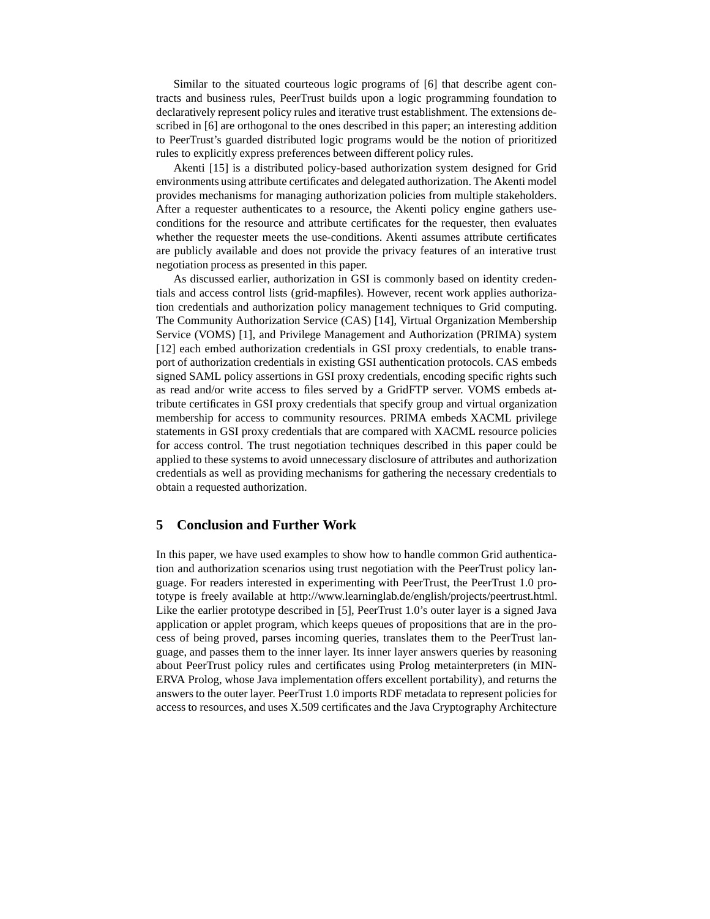Similar to the situated courteous logic programs of [6] that describe agent contracts and business rules, PeerTrust builds upon a logic programming foundation to declaratively represent policy rules and iterative trust establishment. The extensions described in [6] are orthogonal to the ones described in this paper; an interesting addition to PeerTrust's guarded distributed logic programs would be the notion of prioritized rules to explicitly express preferences between different policy rules.

Akenti [15] is a distributed policy-based authorization system designed for Grid environments using attribute certificates and delegated authorization. The Akenti model provides mechanisms for managing authorization policies from multiple stakeholders. After a requester authenticates to a resource, the Akenti policy engine gathers useconditions for the resource and attribute certificates for the requester, then evaluates whether the requester meets the use-conditions. Akenti assumes attribute certificates are publicly available and does not provide the privacy features of an interative trust negotiation process as presented in this paper.

As discussed earlier, authorization in GSI is commonly based on identity credentials and access control lists (grid-mapfiles). However, recent work applies authorization credentials and authorization policy management techniques to Grid computing. The Community Authorization Service (CAS) [14], Virtual Organization Membership Service (VOMS) [1], and Privilege Management and Authorization (PRIMA) system [12] each embed authorization credentials in GSI proxy credentials, to enable transport of authorization credentials in existing GSI authentication protocols. CAS embeds signed SAML policy assertions in GSI proxy credentials, encoding specific rights such as read and/or write access to files served by a GridFTP server. VOMS embeds attribute certificates in GSI proxy credentials that specify group and virtual organization membership for access to community resources. PRIMA embeds XACML privilege statements in GSI proxy credentials that are compared with XACML resource policies for access control. The trust negotiation techniques described in this paper could be applied to these systems to avoid unnecessary disclosure of attributes and authorization credentials as well as providing mechanisms for gathering the necessary credentials to obtain a requested authorization.

# **5 Conclusion and Further Work**

In this paper, we have used examples to show how to handle common Grid authentication and authorization scenarios using trust negotiation with the PeerTrust policy language. For readers interested in experimenting with PeerTrust, the PeerTrust 1.0 prototype is freely available at http://www.learninglab.de/english/projects/peertrust.html. Like the earlier prototype described in [5], PeerTrust 1.0's outer layer is a signed Java application or applet program, which keeps queues of propositions that are in the process of being proved, parses incoming queries, translates them to the PeerTrust language, and passes them to the inner layer. Its inner layer answers queries by reasoning about PeerTrust policy rules and certificates using Prolog metainterpreters (in MIN-ERVA Prolog, whose Java implementation offers excellent portability), and returns the answers to the outer layer. PeerTrust 1.0 imports RDF metadata to represent policies for access to resources, and uses X.509 certificates and the Java Cryptography Architecture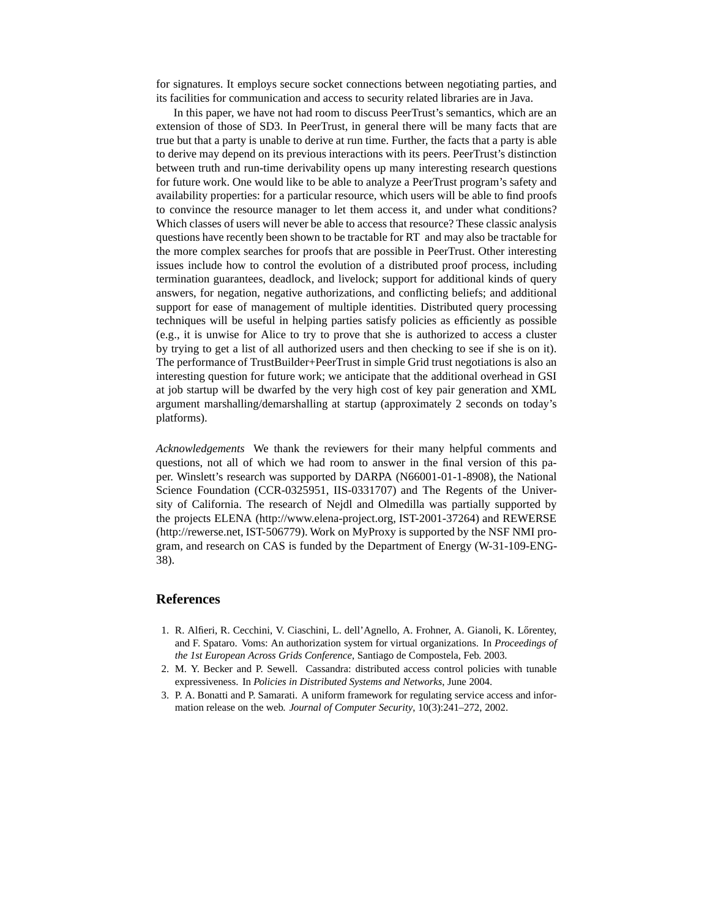for signatures. It employs secure socket connections between negotiating parties, and its facilities for communication and access to security related libraries are in Java.

In this paper, we have not had room to discuss PeerTrust's semantics, which are an extension of those of SD3. In PeerTrust, in general there will be many facts that are true but that a party is unable to derive at run time. Further, the facts that a party is able to derive may depend on its previous interactions with its peers. PeerTrust's distinction between truth and run-time derivability opens up many interesting research questions for future work. One would like to be able to analyze a PeerTrust program's safety and availability properties: for a particular resource, which users will be able to find proofs to convince the resource manager to let them access it, and under what conditions? Which classes of users will never be able to access that resource? These classic analysis questions have recently been shown to be tractable for RT and may also be tractable for the more complex searches for proofs that are possible in PeerTrust. Other interesting issues include how to control the evolution of a distributed proof process, including termination guarantees, deadlock, and livelock; support for additional kinds of query answers, for negation, negative authorizations, and conflicting beliefs; and additional support for ease of management of multiple identities. Distributed query processing techniques will be useful in helping parties satisfy policies as efficiently as possible (e.g., it is unwise for Alice to try to prove that she is authorized to access a cluster by trying to get a list of all authorized users and then checking to see if she is on it). The performance of TrustBuilder+PeerTrust in simple Grid trust negotiations is also an interesting question for future work; we anticipate that the additional overhead in GSI at job startup will be dwarfed by the very high cost of key pair generation and XML argument marshalling/demarshalling at startup (approximately 2 seconds on today's platforms).

*Acknowledgements* We thank the reviewers for their many helpful comments and questions, not all of which we had room to answer in the final version of this paper. Winslett's research was supported by DARPA (N66001-01-1-8908), the National Science Foundation (CCR-0325951, IIS-0331707) and The Regents of the University of California. The research of Nejdl and Olmedilla was partially supported by the projects ELENA (http://www.elena-project.org, IST-2001-37264) and REWERSE (http://rewerse.net, IST-506779). Work on MyProxy is supported by the NSF NMI program, and research on CAS is funded by the Department of Energy (W-31-109-ENG-38).

## **References**

- 1. R. Alfieri, R. Cecchini, V. Ciaschini, L. dell'Agnello, A. Frohner, A. Gianoli, K. Lőrentey, and F. Spataro. Voms: An authorization system for virtual organizations. In *Proceedings of the 1st European Across Grids Conference*, Santiago de Compostela, Feb. 2003.
- 2. M. Y. Becker and P. Sewell. Cassandra: distributed access control policies with tunable expressiveness. In *Policies in Distributed Systems and Networks*, June 2004.
- 3. P. A. Bonatti and P. Samarati. A uniform framework for regulating service access and information release on the web. *Journal of Computer Security*, 10(3):241–272, 2002.